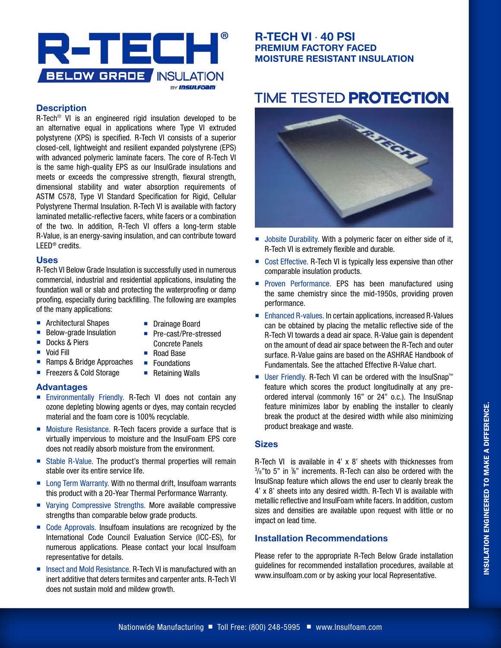

#### **Description**

R-Tech® VI is an engineered rigid insulation developed to be an alternative equal in applications where Type VI extruded polystyrene (XPS) is specified. R-Tech VI consists of a superior closed-cell, lightweight and resilient expanded polystyrene (EPS) with advanced polymeric laminate facers. The core of R-Tech VI is the same high-quality EPS as our InsulGrade insulations and meets or exceeds the compressive strength, flexural strength, dimensional stability and water absorption requirements of ASTM C578, Type VI Standard Specification for Rigid, Cellular Polystyrene Thermal Insulation. R-Tech VI is available with factory laminated metallic-reflective facers, white facers or a combination of the two. In addition, R-Tech VI offers a long-term stable R-Value, is an energy-saving insulation, and can contribute toward LEED® credits.

#### **Uses**

R-Tech VI Below Grade Insulation is successfully used in numerous commercial, industrial and residential applications, insulating the foundation wall or slab and protecting the waterproofing or damp proofing, especially during backfilling. The following are examples of the many applications:

- **Architectural Shapes**
- **Drainage Board**

■ Pre-cast/Pre-stressed

**Below-grade Insulation** 

■ Freezers & Cold Storage

- Docks & Piers
- **Void Fill**
- Concrete Panels
- Road Base
- Ramps & Bridge Approaches **Foundations** 
	- Retaining Walls

#### **Advantages**

- **Environmentally Friendly. R-Tech VI does not contain any** ozone depleting blowing agents or dyes, may contain recycled material and the foam core is 100% recyclable.
- Moisture Resistance. R-Tech facers provide a surface that is virtually impervious to moisture and the InsulFoam EPS core does not readily absorb moisture from the environment.
- Stable R-Value. The product's thermal properties will remain stable over its entire service life.
- Long Term Warranty. With no thermal drift, Insulfoam warrants this product with a 20-Year Thermal Performance Warranty.
- Varving Compressive Strengths. More available compressive strengths than comparable below grade products.
- Code Approvals. Insulfoam insulations are recognized by the International Code Council Evaluation Service (ICC-ES), for numerous applications. Please contact your local Insulfoam representative for details.
- Insect and Mold Resistance. R-Tech VI is manufactured with an inert additive that deters termites and carpenter ants. R-Tech VI does not sustain mold and mildew growth.

### **R-TECH VI** · **40 PSI PREMIUM FACTORY FACED MOISTURE RESISTANT INSULATION**

# **TIME TESTED PROTECTION.**



- Jobsite Durability. With a polymeric facer on either side of it, R-Tech VI is extremely flexible and durable.
- Cost Effective. R-Tech VI is typically less expensive than other comparable insulation products.
- **Proven Performance. EPS has been manufactured using** the same chemistry since the mid-1950s, providing proven performance.
- Enhanced R-values. In certain applications, increased R-Values can be obtained by placing the metallic reflective side of the R-Tech VI towards a dead air space. R-Value gain is dependent on the amount of dead air space between the R-Tech and outer surface. R-Value gains are based on the ASHRAE Handbook of Fundamentals. See the attached Effective R-Value chart.
- User Friendly. R-Tech VI can be ordered with the InsulSnap™ feature which scores the product longitudinally at any preordered interval (commonly 16" or 24" o.c.). The InsulSnap feature minimizes labor by enabling the installer to cleanly break the product at the desired width while also minimizing product breakage and waste.

#### **Sizes**

R-Tech VI is available in 4' x 8' sheets with thicknesses from  $3/8$ " to 5" in  $1/8$ " increments. R-Tech can also be ordered with the InsulSnap feature which allows the end user to cleanly break the 4' x 8' sheets into any desired width. R-Tech VI is available with metallic reflective and InsulFoam white facers. In addition, custom sizes and densities are available upon request with little or no impact on lead time.

#### **Installation Recommendations**

Please refer to the appropriate R-Tech Below Grade installation guidelines for recommended installation procedures, available at www.insulfoam.com or by asking your local Representative.